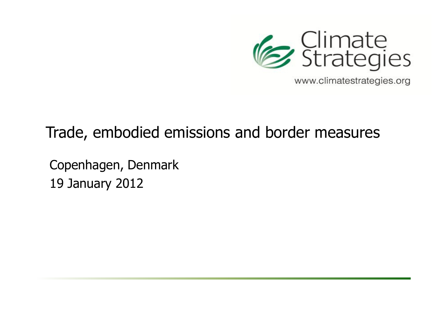

www.climatestrategies.org

# Trade, embodied emissions and border measures

Copenhagen, Denmark19 January 2012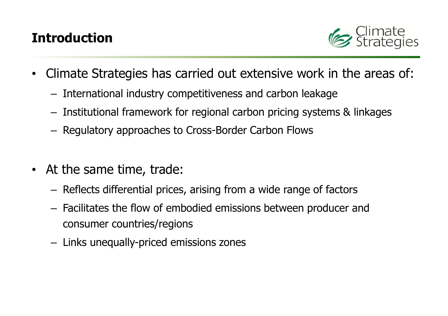# Introduction



- $\bullet$  Climate Strategies has carried out extensive work in the areas of:
	- – $-$  International industry competitiveness and carbon leakage
	- – $-$  Institutional framework for regional carbon pricing systems  $\&$  linkages
	- – $-$  Regulatory approaches to Cross-Border Carbon Flows
- At the same time, trade:
	- – $-$  Reflects differential prices, arising from a wide range of factors
	- – Facilitates the flow of embodied emissions between producer and consumer countries/regions
	- – $-$  Links unequally-priced emissions zones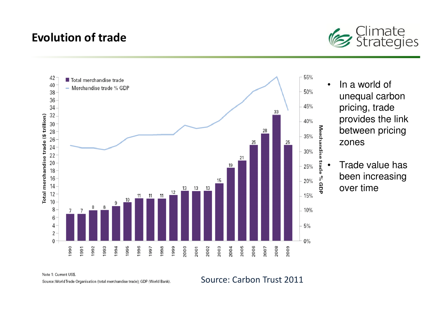#### Evolution of trade





Note 1: Current US\$

Source: World Trade Organisation (total merchandise trade); GDP (World Bank).

Source: Carbon Trust 2011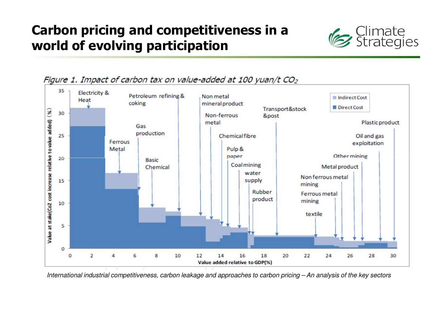# Carbon pricing and competitiveness in a world of evolving participation





Figure 1. Impact of carbon tax on value-added at 100 yuan/t CO<sub>2</sub>

International industrial competitiveness, carbon leakage and approaches to carbon pricing – An analysis of the key sectors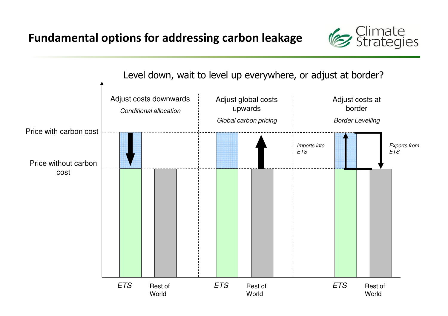

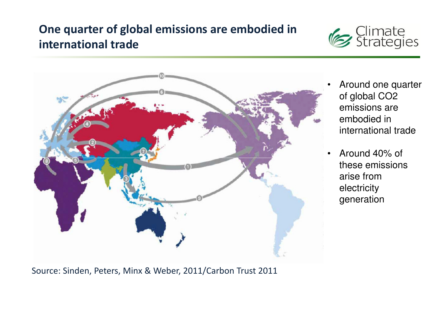### One quarter of global emissions are embodied in international trade





- Around one quarter of global CO2 emissions are embodied in international trade
- • Around 40% of these emissions arise from electricity generation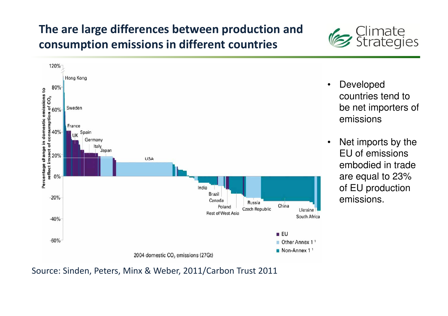## The are large differences between production and consumption emissions in different countries





Source: Sinden, Peters, Minx & Weber, 2011/Carbon Trust 2011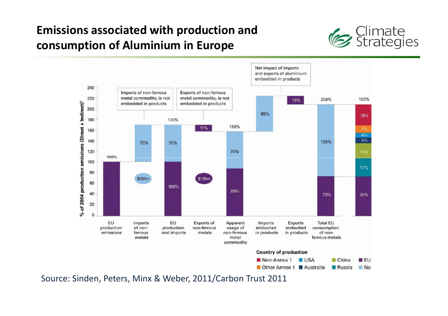## Emissions associated with production and consumption of Aluminium in Europe



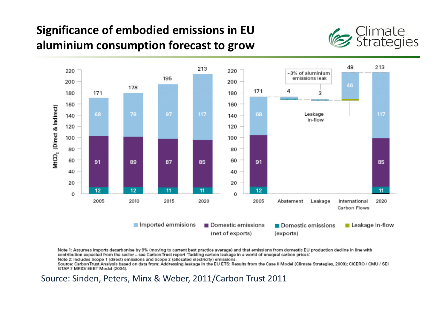## Significance of embodied emissions in EU aluminium consumption forecast to grow





Note 1: Assumes imports decarbonise by 9% (moving to current best practice average) and that emissions from domestic EU production decline in line with contribution expected from the sector - see Carbon Trust report 'Tackling carbon leakage in a world of unequal carbon prices'.

Note 2: Includes Scope 1 (direct) emissions and Scope 2 (allocated electricity) emissions.

Source: Carbon Trust Analysis based on data from: Addressing leakage in the EU ETS: Results from the Case II Model (Climate Strategies, 2009); CICERO / CMU / SEI GTAP 7 MRIO/ EEBT Model (2004).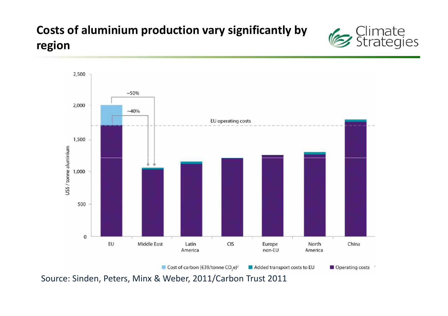## Costs of aluminium production vary significantly byregion



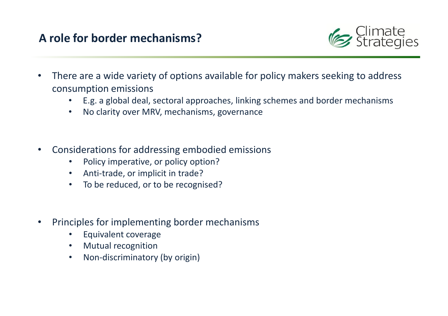#### A role for border mechanisms?



- • There are a wide variety of options available for policy makers seeking to address consumption emissions
	- E.g. a global deal, sectoral approaches, linking schemes and border mechanisms
	- •No clarity over MRV, mechanisms, governance
- • Considerations for addressing embodied emissions
	- $\bullet$ Policy imperative, or policy option?
	- Anti-trade, or implicit in trade?
	- To be reduced, or to be recognised? $\bullet$
- • Principles for implementing border mechanisms
	- •Equivalent coverage
	- Mutual recognition•
	- Non-discriminatory (by origin) $\bullet$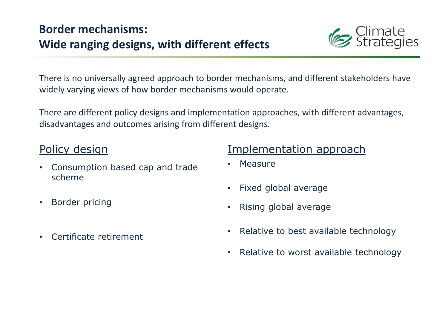## Border mechanisms: Wide ranging designs, with different effects



There is no universally agreed approach to border mechanisms, and different stakeholders have widely varying views of how border mechanisms would operate.

There are different policy designs and implementation approaches, with different advantages, disadvantages and outcomes arising from different designs.

#### Policy design

- • Consumption based cap and trade scheme
- $\bullet$ Border pricing
- •Certificate retirement

#### Implementation approach

- •Measure
- •Fixed global average
- •Rising global average
- •Relative to best available technology
- $\bullet$ Relative to worst available technology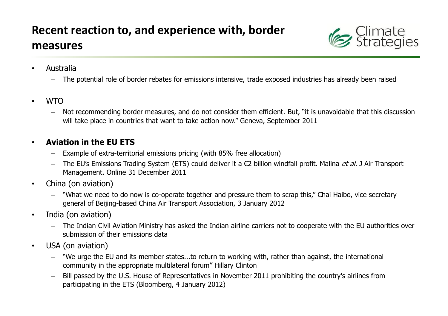

- • Australia
	- The potential role of border rebates for emissions intensive, trade exposed industries has already been raised
- • WTO
	- Not recommending border measures, and do not consider them efficient. But, "it is unavoidable that this discussion will take place in countries that want to take action now." Geneva, September 2011

#### •Aviation in the EU ETS

- $-$  Example of extra-territorial emissions pricing (with 85% free allocation) –
- The EU's Emissions Trading System (ETS) could deliver it a €2 billion windfall profit. Malina et al. J Air Transport Management. Online 31 December 2011
- • China (on aviation)
	- "What we need to do now is co-operate together and pressure them to scrap this," Chai Haibo, vice secretary general of Beijing-based China Air Transport Association, 3 January 2012
- • India (on aviation)
	- The Indian Civil Aviation Ministry has asked the Indian airline carriers not to cooperate with the EU authorities over submission of their emissions data
- • USA (on aviation)
	- "We urge the EU and its member states...to return to working with, rather than against, the international community in the appropriate multilateral forum" Hillary Clinton
	- Bill passed by the U.S. House of Representatives in November 2011 prohibiting the country's airlines from –participating in the ETS (Bloomberg, 4 January 2012)